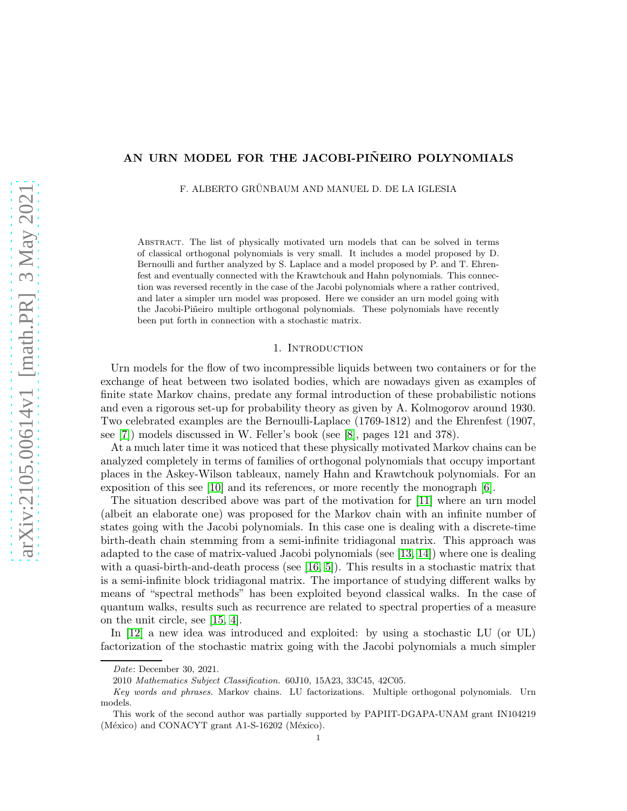# AN URN MODEL FOR THE JACOBI-PIÑEIRO POLYNOMIALS

F. ALBERTO GRÜNBAUM AND MANUEL D. DE LA IGLESIA

Abstract. The list of physically motivated urn models that can be solved in terms of classical orthogonal polynomials is very small. It includes a model proposed by D. Bernoulli and further analyzed by S. Laplace and a model proposed by P. and T. Ehrenfest and eventually connected with the Krawtchouk and Hahn polynomials. This connection was reversed recently in the case of the Jacobi polynomials where a rather contrived, and later a simpler urn model was proposed. Here we consider an urn model going with the Jacobi-Piñeiro multiple orthogonal polynomials. These polynomials have recently been put forth in connection with a stochastic matrix.

#### 1. INTRODUCTION

Urn models for the flow of two incompressible liquids between two containers or for the exchange of heat between two isolated bodies, which are nowadays given as examples of finite state Markov chains, predate any formal introduction of these probabilistic notions and even a rigorous set-up for probability theory as given by A. Kolmogorov around 1930. Two celebrated examples are the Bernoulli-Laplace (1769-1812) and the Ehrenfest (1907, see [\[7\]](#page-9-0)) models discussed in W. Feller's book (see [\[8\]](#page-9-1), pages 121 and 378).

At a much later time it was noticed that these physically motivated Markov chains can be analyzed completely in terms of families of orthogonal polynomials that occupy important places in the Askey-Wilson tableaux, namely Hahn and Krawtchouk polynomials. For an exposition of this see [\[10\]](#page-9-2) and its references, or more recently the monograph [\[6\]](#page-9-3).

The situation described above was part of the motivation for [\[11\]](#page-9-4) where an urn model (albeit an elaborate one) was proposed for the Markov chain with an infinite number of states going with the Jacobi polynomials. In this case one is dealing with a discrete-time birth-death chain stemming from a semi-infinite tridiagonal matrix. This approach was adapted to the case of matrix-valued Jacobi polynomials (see [\[13,](#page-9-5) [14\]](#page-9-6)) where one is dealing with a quasi-birth-and-death process (see  $[16, 5]$  $[16, 5]$ ). This results in a stochastic matrix that is a semi-infinite block tridiagonal matrix. The importance of studying different walks by means of "spectral methods" has been exploited beyond classical walks. In the case of quantum walks, results such as recurrence are related to spectral properties of a measure on the unit circle, see [\[15,](#page-9-9) [4\]](#page-9-10).

In [\[12\]](#page-9-11) a new idea was introduced and exploited: by using a stochastic LU (or UL) factorization of the stochastic matrix going with the Jacobi polynomials a much simpler

Date: December 30, 2021.

<sup>2010</sup> Mathematics Subject Classification. 60J10, 15A23, 33C45, 42C05.

Key words and phrases. Markov chains. LU factorizations. Multiple orthogonal polynomials. Urn models.

This work of the second author was partially supported by PAPIIT-DGAPA-UNAM grant IN104219 (México) and CONACYT grant A1-S-16202 (México).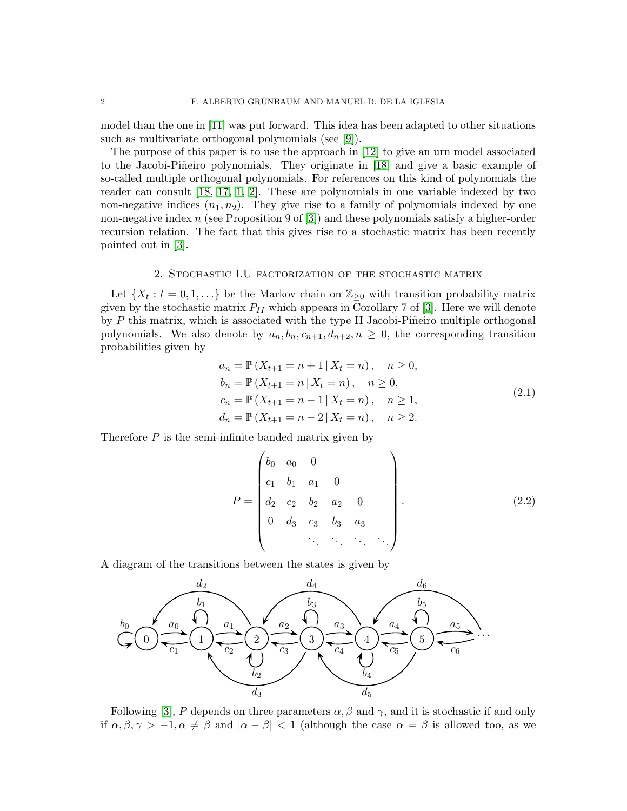model than the one in [\[11\]](#page-9-4) was put forward. This idea has been adapted to other situations such as multivariate orthogonal polynomials (see [\[9\]](#page-9-12)).

The purpose of this paper is to use the approach in [\[12\]](#page-9-11) to give an urn model associated to the Jacobi-Piñeiro polynomials. They originate in [\[18\]](#page-9-13) and give a basic example of so-called multiple orthogonal polynomials. For references on this kind of polynomials the reader can consult [\[18,](#page-9-13) [17,](#page-9-14) [1,](#page-9-15) [2\]](#page-9-16). These are polynomials in one variable indexed by two non-negative indices  $(n_1, n_2)$ . They give rise to a family of polynomials indexed by one non-negative index  $n$  (see Proposition 9 of [\[3\]](#page-9-17)) and these polynomials satisfy a higher-order recursion relation. The fact that this gives rise to a stochastic matrix has been recently pointed out in [\[3\]](#page-9-17).

#### 2. Stochastic LU factorization of the stochastic matrix

Let  $\{X_t : t = 0, 1, \ldots\}$  be the Markov chain on  $\mathbb{Z}_{\geq 0}$  with transition probability matrix given by the stochastic matrix  $P_{II}$  which appears in Corollary 7 of [\[3\]](#page-9-17). Here we will denote by  $P$  this matrix, which is associated with the type II Jacobi-Piñeiro multiple orthogonal polynomials. We also denote by  $a_n, b_n, c_{n+1}, d_{n+2}, n \geq 0$ , the corresponding transition probabilities given by

$$
a_n = \mathbb{P}(X_{t+1} = n+1 | X_t = n), \quad n \ge 0,
$$
  
\n
$$
b_n = \mathbb{P}(X_{t+1} = n | X_t = n), \quad n \ge 0,
$$
  
\n
$$
c_n = \mathbb{P}(X_{t+1} = n-1 | X_t = n), \quad n \ge 1,
$$
  
\n
$$
d_n = \mathbb{P}(X_{t+1} = n-2 | X_t = n), \quad n \ge 2.
$$
\n(2.1)

<span id="page-1-1"></span>Therefore  $P$  is the semi-infinite banded matrix given by

<span id="page-1-0"></span>
$$
P = \begin{pmatrix} b_0 & a_0 & 0 & & & \\ c_1 & b_1 & a_1 & 0 & & \\ d_2 & c_2 & b_2 & a_2 & 0 & \\ 0 & d_3 & c_3 & b_3 & a_3 & \\ & & & & & & \ddots & \ddots & \ddots \end{pmatrix} .
$$
 (2.2)

A diagram of the transitions between the states is given by



Following [\[3\]](#page-9-17), P depends on three parameters  $\alpha$ ,  $\beta$  and  $\gamma$ , and it is stochastic if and only if  $\alpha, \beta, \gamma > -1, \alpha \neq \beta$  and  $|\alpha - \beta| < 1$  (although the case  $\alpha = \beta$  is allowed too, as we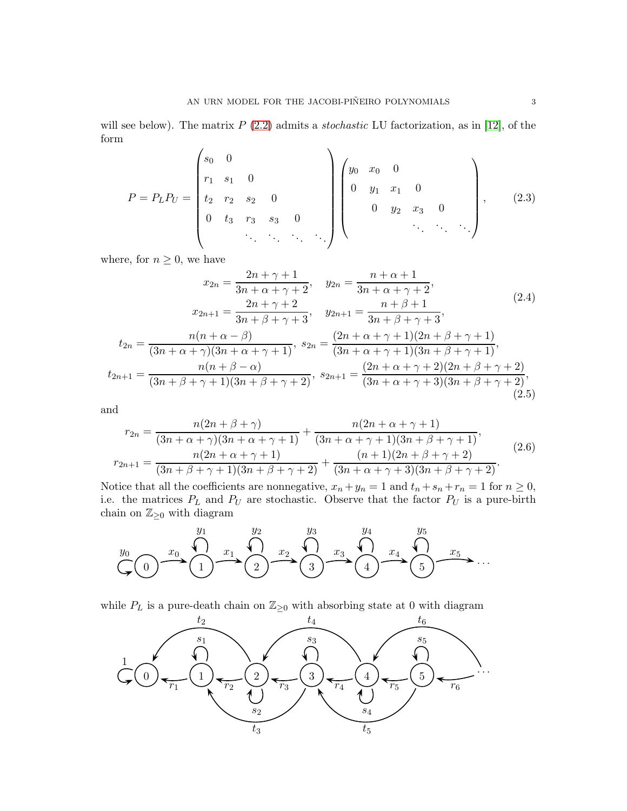will see below). The matrix  $P(2.2)$  $P(2.2)$  admits a *stochastic* LU factorization, as in [\[12\]](#page-9-11), of the form

<span id="page-2-0"></span>
$$
P = P_L P_U = \begin{pmatrix} s_0 & 0 & & & & & \\ r_1 & s_1 & 0 & & & & \\ t_2 & r_2 & s_2 & 0 & & & \\ 0 & t_3 & r_3 & s_3 & 0 & & \\ & & & & & & & \\ & & & & & & & \end{pmatrix} \begin{pmatrix} y_0 & x_0 & 0 & & & & \\ 0 & y_1 & x_1 & 0 & & & \\ & & & & & & & \\ & & & & & & & \ddots & \\ & & & & & & & & \ddots & \\ & & & & & & & & \end{pmatrix}, \qquad (2.3)
$$

where, for  $n \geq 0$ , we have

<span id="page-2-1"></span>
$$
x_{2n} = \frac{2n + \gamma + 1}{3n + \alpha + \gamma + 2}, \quad y_{2n} = \frac{n + \alpha + 1}{3n + \alpha + \gamma + 2},
$$
  
\n
$$
x_{2n+1} = \frac{2n + \gamma + 2}{3n + \beta + \gamma + 3}, \quad y_{2n+1} = \frac{n + \beta + 1}{3n + \beta + \gamma + 3},
$$
  
\n
$$
t_{2n} = \frac{n(n + \alpha - \beta)}{(3n + \alpha + \gamma)(3n + \alpha + \gamma + 1)}, \quad s_{2n} = \frac{(2n + \alpha + \gamma + 1)(2n + \beta + \gamma + 1)}{(3n + \alpha + \gamma + 1)(3n + \beta + \gamma + 1)},
$$
  
\n
$$
t_{2n+1} = \frac{n(n + \beta - \alpha)}{(3n + \beta + \gamma + 1)(3n + \beta + \gamma + 2)}, \quad s_{2n+1} = \frac{(2n + \alpha + \gamma + 2)(2n + \beta + \gamma + 2)}{(3n + \alpha + \gamma + 3)(3n + \beta + \gamma + 2)},
$$
  
\n(2.5)

<span id="page-2-3"></span>and

<span id="page-2-2"></span>
$$
r_{2n} = \frac{n(2n + \beta + \gamma)}{(3n + \alpha + \gamma)(3n + \alpha + \gamma + 1)} + \frac{n(2n + \alpha + \gamma + 1)}{(3n + \alpha + \gamma + 1)(3n + \beta + \gamma + 1)},
$$
  

$$
r_{2n+1} = \frac{n(2n + \alpha + \gamma + 1)}{(3n + \beta + \gamma + 1)(3n + \beta + \gamma + 2)} + \frac{(n + 1)(2n + \beta + \gamma + 2)}{(3n + \alpha + \gamma + 3)(3n + \beta + \gamma + 2)}.
$$
 (2.6)

Notice that all the coefficients are nonnegative,  $x_n + y_n = 1$  and  $t_n + s_n + r_n = 1$  for  $n \ge 0$ , i.e. the matrices  $P_L$  and  $P_U$  are stochastic. Observe that the factor  $P_U$  is a pure-birth chain on  $\mathbb{Z}_{\geq 0}$  with diagram



while  $P_L$  is a pure-death chain on  $\mathbb{Z}_{\geq 0}$  with absorbing state at 0 with diagram

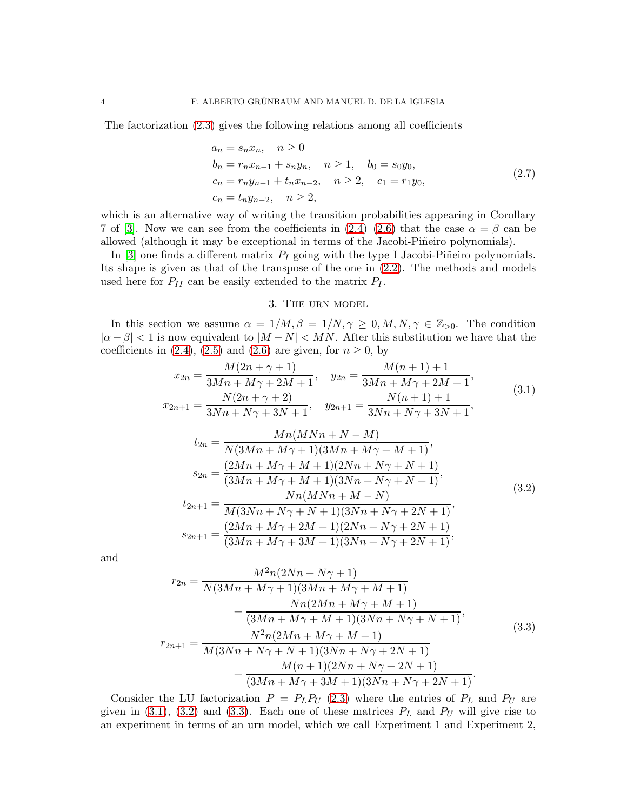The factorization [\(2.3\)](#page-2-0) gives the following relations among all coefficients

$$
a_n = s_n x_n, \quad n \ge 0
$$
  
\n
$$
b_n = r_n x_{n-1} + s_n y_n, \quad n \ge 1, \quad b_0 = s_0 y_0,
$$
  
\n
$$
c_n = r_n y_{n-1} + t_n x_{n-2}, \quad n \ge 2, \quad c_1 = r_1 y_0,
$$
  
\n
$$
c_n = t_n y_{n-2}, \quad n \ge 2,
$$
\n
$$
(2.7)
$$

<span id="page-3-3"></span>which is an alternative way of writing the transition probabilities appearing in Corollary 7 of [\[3\]](#page-9-17). Now we can see from the coefficients in  $(2.4)$ – $(2.6)$  that the case  $\alpha = \beta$  can be allowed (although it may be exceptional in terms of the Jacobi-Piñeiro polynomials).

In [\[3\]](#page-9-17) one finds a different matrix  $P_I$  going with the type I Jacobi-Piñeiro polynomials. Its shape is given as that of the transpose of the one in [\(2.2\)](#page-1-0). The methods and models used here for  $P_{II}$  can be easily extended to the matrix  $P_I$ .

## 3. The urn model

<span id="page-3-0"></span>In this section we assume  $\alpha = 1/M, \beta = 1/N, \gamma \ge 0, M, N, \gamma \in \mathbb{Z}_{>0}$ . The condition  $|\alpha - \beta| < 1$  is now equivalent to  $|M - N| < MN$ . After this substitution we have that the coefficients in [\(2.4\)](#page-2-1), [\(2.5\)](#page-2-3) and [\(2.6\)](#page-2-2) are given, for  $n \geq 0$ , by

$$
x_{2n} = \frac{M(2n + \gamma + 1)}{3Mn + M\gamma + 2M + 1}, \quad y_{2n} = \frac{M(n + 1) + 1}{3Mn + M\gamma + 2M + 1},
$$
  
\n
$$
x_{2n+1} = \frac{N(2n + \gamma + 2)}{3Nn + N\gamma + 3N + 1}, \quad y_{2n+1} = \frac{N(n + 1) + 1}{3Nn + N\gamma + 3N + 1},
$$
  
\n
$$
t_{2n} = \frac{Mn(MNn + N - M)}{N(3Mn + M\gamma + 1)(3Mn + M\gamma + M + 1)},
$$
  
\n
$$
s_{2n} = \frac{(2Mn + M\gamma + M + 1)(2Nn + N\gamma + N + 1)}{(3Mn + M\gamma + M + 1)(3Nn + N\gamma + N + 1)},
$$
  
\n
$$
t_{2n+1} = \frac{Nn(MNn + M - N)}{M(3Nn + N\gamma + N + 1)(3Nn + N\gamma + 2N + 1)},
$$
  
\n
$$
s_{2n+1} = \frac{(2Mn + M\gamma + 2M + 1)(2Nn + N\gamma + 2N + 1)}{(3Mn + M\gamma + 3M + 1)(3Nn + N\gamma + 2N + 1)},
$$
  
\n(3.2)

<span id="page-3-2"></span><span id="page-3-1"></span>and

$$
r_{2n} = \frac{M^2 n (2Nn + N\gamma + 1)}{N(3Mn + M\gamma + 1)(3Mn + M\gamma + M + 1)} + \frac{Nn (2Mn + M\gamma + M + 1)}{(3Mn + M\gamma + M + 1)(3Nn + N\gamma + N + 1)},
$$
  

$$
r_{2n+1} = \frac{N^2 n (2Mn + M\gamma + M + 1)}{M(3Nn + N\gamma + N + 1)(3Nn + N\gamma + 2N + 1)} + \frac{M(n+1)(2Nn + N\gamma + 2N + 1)}{(3Mn + M\gamma + 3M + 1)(3Nn + N\gamma + 2N + 1)}.
$$
  
(3.3)

Consider the LU factorization  $P = P_L P_U$  [\(2.3\)](#page-2-0) where the entries of  $P_L$  and  $P_U$  are given in [\(3.1\)](#page-3-0), [\(3.2\)](#page-3-1) and [\(3.3\)](#page-3-2). Each one of these matrices  $P<sub>L</sub>$  and  $P<sub>U</sub>$  will give rise to an experiment in terms of an urn model, which we call Experiment 1 and Experiment 2,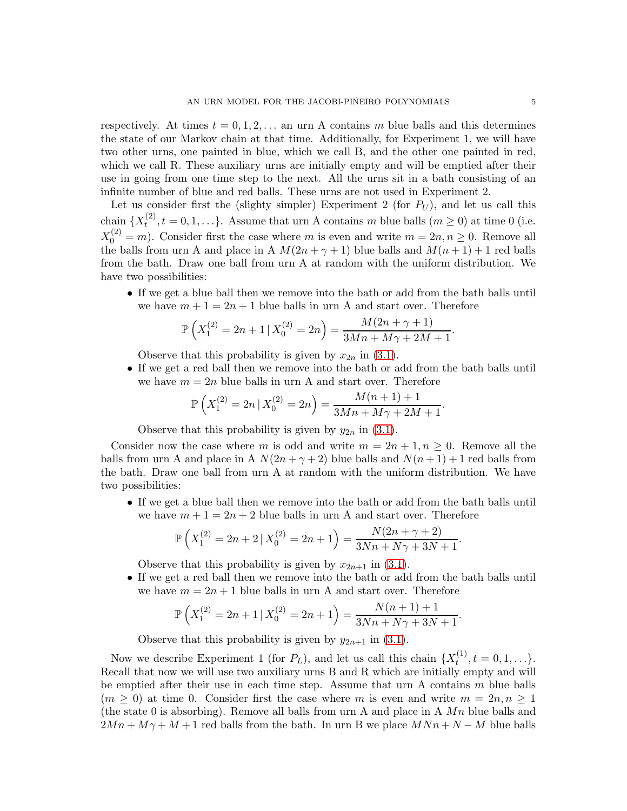respectively. At times  $t = 0, 1, 2, \ldots$  an urn A contains m blue balls and this determines the state of our Markov chain at that time. Additionally, for Experiment 1, we will have two other urns, one painted in blue, which we call B, and the other one painted in red, which we call R. These auxiliary urns are initially empty and will be emptied after their use in going from one time step to the next. All the urns sit in a bath consisting of an infinite number of blue and red balls. These urns are not used in Experiment 2.

Let us consider first the (slighty simpler) Experiment 2 (for  $P_U$ ), and let us call this chain  $\{X_t^{(2)}, t = 0, 1, \ldots\}$ . Assume that urn A contains m blue balls  $(m \ge 0)$  at time 0 (i.e.  $X_0^{(2)} = m$ ). Consider first the case where m is even and write  $m = 2n, n \ge 0$ . Remove all the balls from urn A and place in A  $M(2n + \gamma + 1)$  blue balls and  $M(n + 1) + 1$  red balls from the bath. Draw one ball from urn A at random with the uniform distribution. We have two possibilities:

• If we get a blue ball then we remove into the bath or add from the bath balls until we have  $m + 1 = 2n + 1$  blue balls in urn A and start over. Therefore

$$
\mathbb{P}\left(X_1^{(2)} = 2n + 1 \mid X_0^{(2)} = 2n\right) = \frac{M(2n + \gamma + 1)}{3Mn + M\gamma + 2M + 1}.
$$

Observe that this probability is given by  $x_{2n}$  in [\(3.1\)](#page-3-0).

• If we get a red ball then we remove into the bath or add from the bath balls until we have  $m = 2n$  blue balls in urn A and start over. Therefore

$$
\mathbb{P}\left(X_1^{(2)} = 2n \mid X_0^{(2)} = 2n\right) = \frac{M(n+1)+1}{3Mn + M\gamma + 2M + 1}.
$$

Observe that this probability is given by  $y_{2n}$  in [\(3.1\)](#page-3-0).

Consider now the case where m is odd and write  $m = 2n + 1, n \ge 0$ . Remove all the balls from urn A and place in A  $N(2n + \gamma + 2)$  blue balls and  $N(n + 1) + 1$  red balls from the bath. Draw one ball from urn A at random with the uniform distribution. We have two possibilities:

• If we get a blue ball then we remove into the bath or add from the bath balls until we have  $m + 1 = 2n + 2$  blue balls in urn A and start over. Therefore

$$
\mathbb{P}\left(X_1^{(2)} = 2n + 2 | X_0^{(2)} = 2n + 1\right) = \frac{N(2n + \gamma + 2)}{3Nn + N\gamma + 3N + 1}.
$$

Observe that this probability is given by  $x_{2n+1}$  in [\(3.1\)](#page-3-0).

• If we get a red ball then we remove into the bath or add from the bath balls until we have  $m = 2n + 1$  blue balls in urn A and start over. Therefore

$$
\mathbb{P}\left(X_1^{(2)} = 2n + 1 \mid X_0^{(2)} = 2n + 1\right) = \frac{N(n+1) + 1}{3Nn + N\gamma + 3N + 1}.
$$

Observe that this probability is given by  $y_{2n+1}$  in [\(3.1\)](#page-3-0).

Now we describe Experiment 1 (for  $P_L$ ), and let us call this chain  $\{X_t^{(1)}, t = 0, 1, \ldots\}$ . Recall that now we will use two auxiliary urns B and R which are initially empty and will be emptied after their use in each time step. Assume that urn A contains  $m$  blue balls  $(m \geq 0)$  at time 0. Consider first the case where m is even and write  $m = 2n, n \geq 1$ (the state 0 is absorbing). Remove all balls from urn A and place in A  $Mn$  blue balls and  $2Mn + M\gamma + M + 1$  red balls from the bath. In urn B we place  $MNn + N - M$  blue balls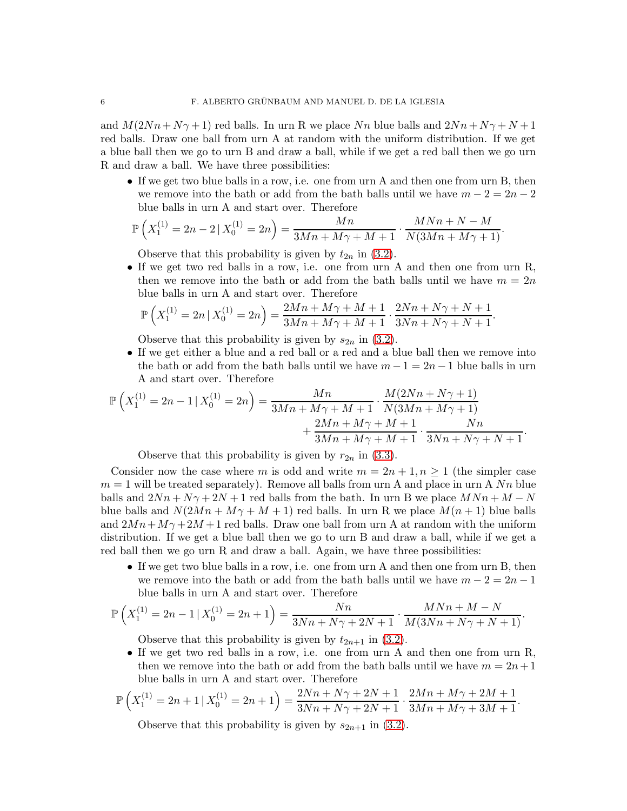and  $M(2Nn + N\gamma + 1)$  red balls. In urn R we place Nn blue balls and  $2Nn + N\gamma + N + 1$ red balls. Draw one ball from urn A at random with the uniform distribution. If we get a blue ball then we go to urn B and draw a ball, while if we get a red ball then we go urn R and draw a ball. We have three possibilities:

• If we get two blue balls in a row, i.e. one from urn A and then one from urn B, then we remove into the bath or add from the bath balls until we have  $m - 2 = 2n - 2$ blue balls in urn A and start over. Therefore

$$
\mathbb{P}\left(X_1^{(1)} = 2n - 2 | X_0^{(1)} = 2n\right) = \frac{Mn}{3Mn + M\gamma + M + 1} \cdot \frac{MNn + N - M}{N(3Mn + M\gamma + 1)}.
$$

Observe that this probability is given by  $t_{2n}$  in [\(3.2\)](#page-3-1).

• If we get two red balls in a row, i.e. one from urn A and then one from urn R, then we remove into the bath or add from the bath balls until we have  $m = 2n$ blue balls in urn A and start over. Therefore

$$
\mathbb{P}\left(X_1^{(1)} = 2n \mid X_0^{(1)} = 2n\right) = \frac{2Mn + M\gamma + M + 1}{3Mn + M\gamma + M + 1} \cdot \frac{2Nn + N\gamma + N + 1}{3Nn + N\gamma + N + 1}.
$$

Observe that this probability is given by  $s_{2n}$  in [\(3.2\)](#page-3-1).

• If we get either a blue and a red ball or a red and a blue ball then we remove into the bath or add from the bath balls until we have  $m-1=2n-1$  blue balls in urn A and start over. Therefore

$$
\mathbb{P}\left(X_1^{(1)} = 2n - 1 | X_0^{(1)} = 2n\right) = \frac{Mn}{3Mn + M\gamma + M + 1} \cdot \frac{M(2Nn + N\gamma + 1)}{N(3Mn + M\gamma + 1)} + \frac{2Mn + M\gamma + M + 1}{3Mn + M\gamma + M + 1} \cdot \frac{Nn}{3Nn + N\gamma + N + 1}.
$$

Observe that this probability is given by  $r_{2n}$  in [\(3.3\)](#page-3-2).

Consider now the case where m is odd and write  $m = 2n + 1, n \ge 1$  (the simpler case  $m = 1$  will be treated separately). Remove all balls from urn A and place in urn A  $Nn$  blue balls and  $2Nn + N\gamma + 2N + 1$  red balls from the bath. In urn B we place  $MNn + M - N$ blue balls and  $N(2Mn + M\gamma + M + 1)$  red balls. In urn R we place  $M(n + 1)$  blue balls and  $2Mn + M\gamma + 2M + 1$  red balls. Draw one ball from urn A at random with the uniform distribution. If we get a blue ball then we go to urn B and draw a ball, while if we get a red ball then we go urn R and draw a ball. Again, we have three possibilities:

• If we get two blue balls in a row, i.e. one from urn A and then one from urn B, then we remove into the bath or add from the bath balls until we have  $m-2=2n-1$ blue balls in urn A and start over. Therefore

$$
\mathbb{P}\left(X_1^{(1)} = 2n - 1 | X_0^{(1)} = 2n + 1\right) = \frac{Nn}{3Nn + N\gamma + 2N + 1} \cdot \frac{M N n + M - N}{M(3Nn + N\gamma + N + 1)}.
$$

Observe that this probability is given by  $t_{2n+1}$  in [\(3.2\)](#page-3-1).

• If we get two red balls in a row, i.e. one from urn A and then one from urn R, then we remove into the bath or add from the bath balls until we have  $m = 2n + 1$ blue balls in urn A and start over. Therefore

$$
\mathbb{P}\left(X_1^{(1)} = 2n + 1 \mid X_0^{(1)} = 2n + 1\right) = \frac{2Nn + N\gamma + 2N + 1}{3Nn + N\gamma + 2N + 1} \cdot \frac{2Mn + M\gamma + 2M + 1}{3Mn + M\gamma + 3M + 1}.
$$

Observe that this probability is given by  $s_{2n+1}$  in [\(3.2\)](#page-3-1).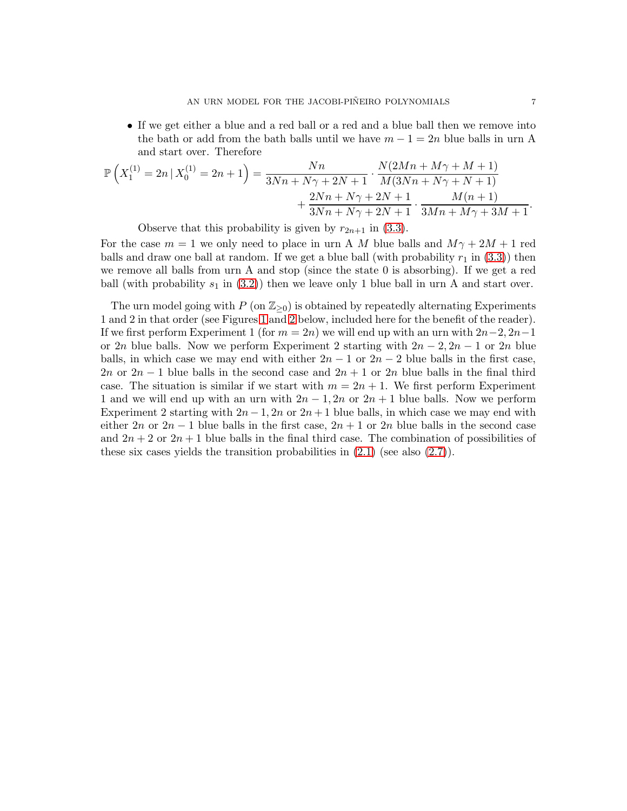• If we get either a blue and a red ball or a red and a blue ball then we remove into the bath or add from the bath balls until we have  $m - 1 = 2n$  blue balls in urn A and start over. Therefore

$$
\mathbb{P}\left(X_1^{(1)} = 2n \mid X_0^{(1)} = 2n + 1\right) = \frac{Nn}{3Nn + N\gamma + 2N + 1} \cdot \frac{N(2Mn + M\gamma + M + 1)}{M(3Nn + N\gamma + N + 1)} + \frac{2Nn + N\gamma + 2N + 1}{3Nn + N\gamma + 2N + 1} \cdot \frac{M(n+1)}{3Mn + M\gamma + 3M + 1}.
$$

Observe that this probability is given by  $r_{2n+1}$  in [\(3.3\)](#page-3-2).

For the case  $m = 1$  we only need to place in urn A M blue balls and  $M\gamma + 2M + 1$  red balls and draw one ball at random. If we get a blue ball (with probability  $r_1$  in [\(3.3\)](#page-3-2)) then we remove all balls from urn A and stop (since the state 0 is absorbing). If we get a red ball (with probability  $s_1$  in [\(3.2\)](#page-3-1)) then we leave only 1 blue ball in urn A and start over.

The urn model going with P (on  $\mathbb{Z}_{\geq 0}$ ) is obtained by repeatedly alternating Experiments 1 and 2 in that order (see Figures [1](#page-7-0) and [2](#page-8-0) below, included here for the benefit of the reader). If we first perform Experiment 1 (for  $m = 2n$ ) we will end up with an urn with  $2n-2, 2n-1$ or 2n blue balls. Now we perform Experiment 2 starting with  $2n - 2$ ,  $2n - 1$  or  $2n$  blue balls, in which case we may end with either  $2n - 1$  or  $2n - 2$  blue balls in the first case, 2n or  $2n-1$  blue balls in the second case and  $2n+1$  or  $2n$  blue balls in the final third case. The situation is similar if we start with  $m = 2n + 1$ . We first perform Experiment 1 and we will end up with an urn with  $2n - 1$ ,  $2n$  or  $2n + 1$  blue balls. Now we perform Experiment 2 starting with  $2n-1$ ,  $2n$  or  $2n+1$  blue balls, in which case we may end with either  $2n$  or  $2n-1$  blue balls in the first case,  $2n+1$  or  $2n$  blue balls in the second case and  $2n + 2$  or  $2n + 1$  blue balls in the final third case. The combination of possibilities of these six cases yields the transition probabilities in  $(2.1)$  (see also  $(2.7)$ ).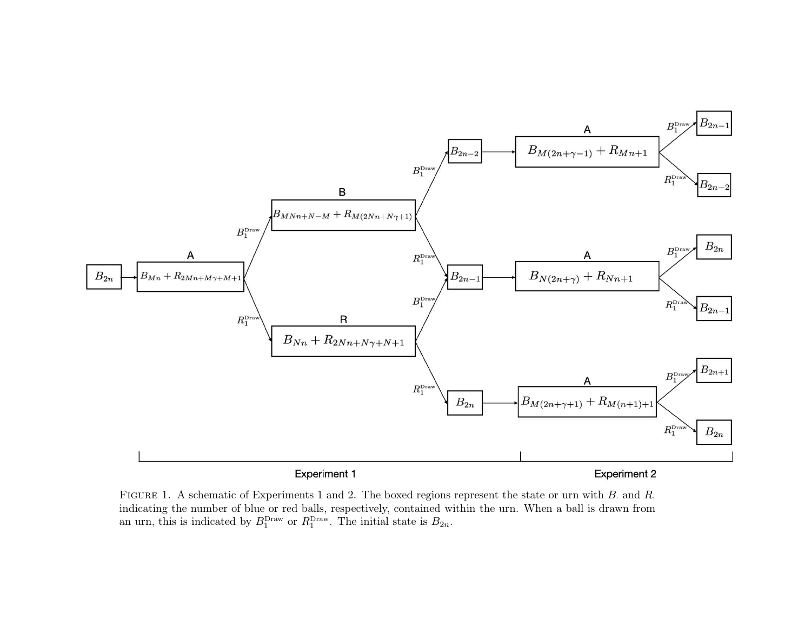

<span id="page-7-0"></span>FIGURE 1. A schematic of Experiments 1 and 2. The boxed regions represent the state or urn with B and R. indicating the number of blue or red balls, respectively, contained within the urn. When <sup>a</sup> ball is drawn froman urn, this is indicated by  $B_1^{\text{Draw}}$  or  $R_1^{\text{Draw}}$ . The initial state is  $B_{2n}$ .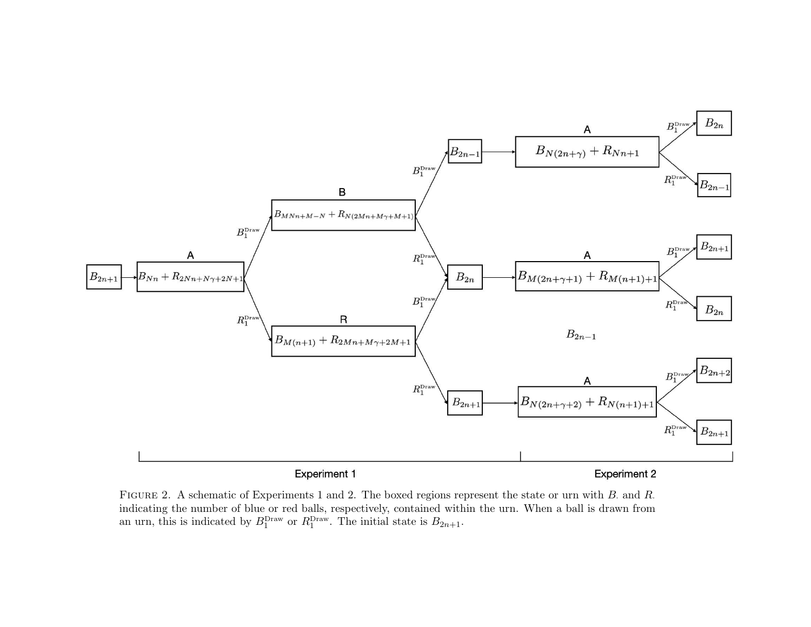

<span id="page-8-0"></span>FIGURE 2. A schematic of Experiments 1 and 2. The boxed regions represent the state or urn with B and R. indicating the number of blue or red balls, respectively, contained within the urn. When <sup>a</sup> ball is drawn froman urn, this is indicated by  $B_1^{\text{Draw}}$  or  $R_1^{\text{Draw}}$ . The initial state is  $B_{2n+1}$ .